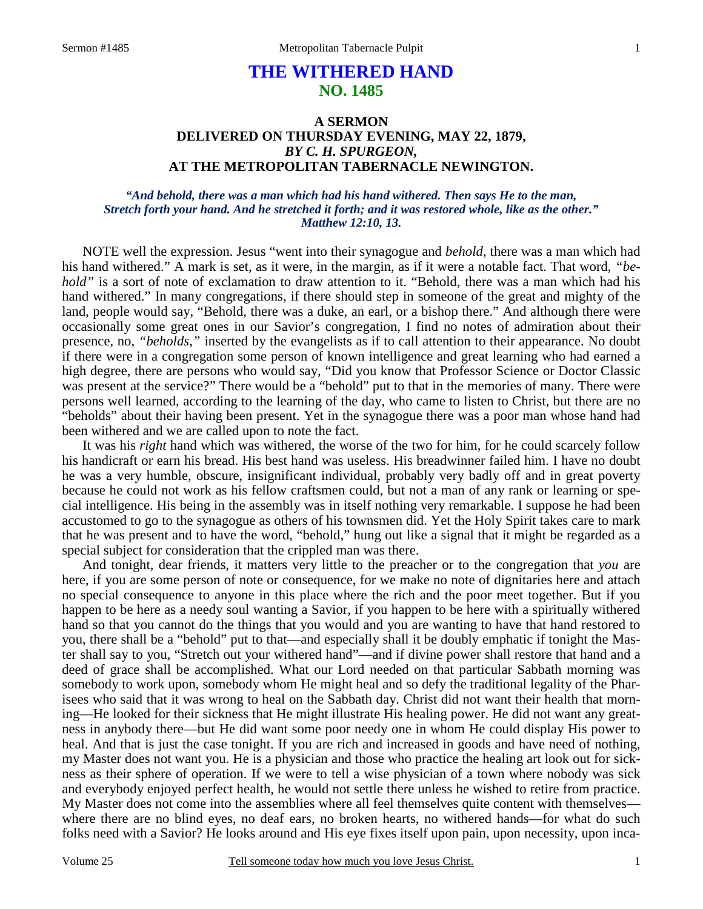# **THE WITHERED HAND NO. 1485**

## **A SERMON DELIVERED ON THURSDAY EVENING, MAY 22, 1879,**  *BY C. H. SPURGEON,*  **AT THE METROPOLITAN TABERNACLE NEWINGTON.**

### *"And behold, there was a man which had his hand withered. Then says He to the man, Stretch forth your hand. And he stretched it forth; and it was restored whole, like as the other." Matthew 12:10, 13.*

NOTE well the expression. Jesus "went into their synagogue and *behold*, there was a man which had his hand withered." A mark is set, as it were, in the margin, as if it were a notable fact. That word, *"behold*" is a sort of note of exclamation to draw attention to it. "Behold, there was a man which had his hand withered." In many congregations, if there should step in someone of the great and mighty of the land, people would say, "Behold, there was a duke, an earl, or a bishop there." And although there were occasionally some great ones in our Savior's congregation, I find no notes of admiration about their presence, no, *"beholds,"* inserted by the evangelists as if to call attention to their appearance. No doubt if there were in a congregation some person of known intelligence and great learning who had earned a high degree, there are persons who would say, "Did you know that Professor Science or Doctor Classic was present at the service?" There would be a "behold" put to that in the memories of many. There were persons well learned, according to the learning of the day, who came to listen to Christ, but there are no "beholds" about their having been present. Yet in the synagogue there was a poor man whose hand had been withered and we are called upon to note the fact.

 It was his *right* hand which was withered, the worse of the two for him, for he could scarcely follow his handicraft or earn his bread. His best hand was useless. His breadwinner failed him. I have no doubt he was a very humble, obscure, insignificant individual, probably very badly off and in great poverty because he could not work as his fellow craftsmen could, but not a man of any rank or learning or special intelligence. His being in the assembly was in itself nothing very remarkable. I suppose he had been accustomed to go to the synagogue as others of his townsmen did. Yet the Holy Spirit takes care to mark that he was present and to have the word, "behold," hung out like a signal that it might be regarded as a special subject for consideration that the crippled man was there.

 And tonight, dear friends, it matters very little to the preacher or to the congregation that *you* are here, if you are some person of note or consequence, for we make no note of dignitaries here and attach no special consequence to anyone in this place where the rich and the poor meet together. But if you happen to be here as a needy soul wanting a Savior, if you happen to be here with a spiritually withered hand so that you cannot do the things that you would and you are wanting to have that hand restored to you, there shall be a "behold" put to that—and especially shall it be doubly emphatic if tonight the Master shall say to you, "Stretch out your withered hand"—and if divine power shall restore that hand and a deed of grace shall be accomplished. What our Lord needed on that particular Sabbath morning was somebody to work upon, somebody whom He might heal and so defy the traditional legality of the Pharisees who said that it was wrong to heal on the Sabbath day. Christ did not want their health that morning—He looked for their sickness that He might illustrate His healing power. He did not want any greatness in anybody there—but He did want some poor needy one in whom He could display His power to heal. And that is just the case tonight. If you are rich and increased in goods and have need of nothing, my Master does not want you. He is a physician and those who practice the healing art look out for sickness as their sphere of operation. If we were to tell a wise physician of a town where nobody was sick and everybody enjoyed perfect health, he would not settle there unless he wished to retire from practice. My Master does not come into the assemblies where all feel themselves quite content with themselves where there are no blind eyes, no deaf ears, no broken hearts, no withered hands—for what do such folks need with a Savior? He looks around and His eye fixes itself upon pain, upon necessity, upon inca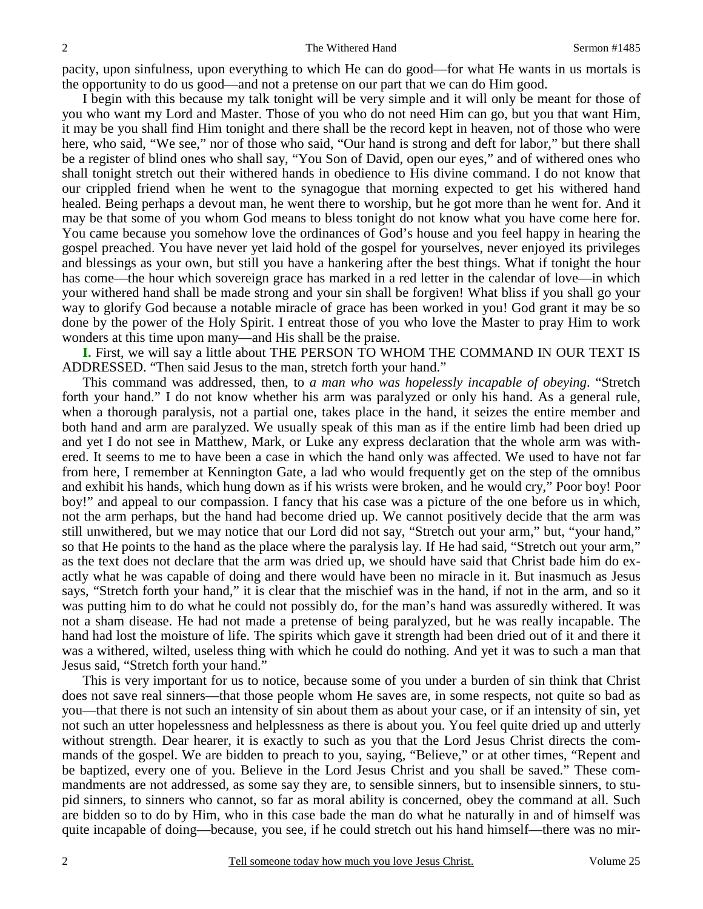pacity, upon sinfulness, upon everything to which He can do good—for what He wants in us mortals is the opportunity to do us good—and not a pretense on our part that we can do Him good.

 I begin with this because my talk tonight will be very simple and it will only be meant for those of you who want my Lord and Master. Those of you who do not need Him can go, but you that want Him, it may be you shall find Him tonight and there shall be the record kept in heaven, not of those who were here, who said, "We see," nor of those who said, "Our hand is strong and deft for labor," but there shall be a register of blind ones who shall say, "You Son of David, open our eyes," and of withered ones who shall tonight stretch out their withered hands in obedience to His divine command. I do not know that our crippled friend when he went to the synagogue that morning expected to get his withered hand healed. Being perhaps a devout man, he went there to worship, but he got more than he went for. And it may be that some of you whom God means to bless tonight do not know what you have come here for. You came because you somehow love the ordinances of God's house and you feel happy in hearing the gospel preached. You have never yet laid hold of the gospel for yourselves, never enjoyed its privileges and blessings as your own, but still you have a hankering after the best things. What if tonight the hour has come—the hour which sovereign grace has marked in a red letter in the calendar of love—in which your withered hand shall be made strong and your sin shall be forgiven! What bliss if you shall go your way to glorify God because a notable miracle of grace has been worked in you! God grant it may be so done by the power of the Holy Spirit. I entreat those of you who love the Master to pray Him to work wonders at this time upon many—and His shall be the praise.

**I.** First, we will say a little about THE PERSON TO WHOM THE COMMAND IN OUR TEXT IS ADDRESSED. "Then said Jesus to the man, stretch forth your hand."

 This command was addressed, then, to *a man who was hopelessly incapable of obeying*. "Stretch forth your hand." I do not know whether his arm was paralyzed or only his hand. As a general rule, when a thorough paralysis, not a partial one, takes place in the hand, it seizes the entire member and both hand and arm are paralyzed. We usually speak of this man as if the entire limb had been dried up and yet I do not see in Matthew, Mark, or Luke any express declaration that the whole arm was withered. It seems to me to have been a case in which the hand only was affected. We used to have not far from here, I remember at Kennington Gate, a lad who would frequently get on the step of the omnibus and exhibit his hands, which hung down as if his wrists were broken, and he would cry," Poor boy! Poor boy!" and appeal to our compassion. I fancy that his case was a picture of the one before us in which, not the arm perhaps, but the hand had become dried up. We cannot positively decide that the arm was still unwithered, but we may notice that our Lord did not say, "Stretch out your arm," but, "your hand," so that He points to the hand as the place where the paralysis lay. If He had said, "Stretch out your arm," as the text does not declare that the arm was dried up, we should have said that Christ bade him do exactly what he was capable of doing and there would have been no miracle in it. But inasmuch as Jesus says, "Stretch forth your hand," it is clear that the mischief was in the hand, if not in the arm, and so it was putting him to do what he could not possibly do, for the man's hand was assuredly withered. It was not a sham disease. He had not made a pretense of being paralyzed, but he was really incapable. The hand had lost the moisture of life. The spirits which gave it strength had been dried out of it and there it was a withered, wilted, useless thing with which he could do nothing. And yet it was to such a man that Jesus said, "Stretch forth your hand."

 This is very important for us to notice, because some of you under a burden of sin think that Christ does not save real sinners—that those people whom He saves are, in some respects, not quite so bad as you—that there is not such an intensity of sin about them as about your case, or if an intensity of sin, yet not such an utter hopelessness and helplessness as there is about you. You feel quite dried up and utterly without strength. Dear hearer, it is exactly to such as you that the Lord Jesus Christ directs the commands of the gospel. We are bidden to preach to you, saying, "Believe," or at other times, "Repent and be baptized, every one of you. Believe in the Lord Jesus Christ and you shall be saved." These commandments are not addressed, as some say they are, to sensible sinners, but to insensible sinners, to stupid sinners, to sinners who cannot, so far as moral ability is concerned, obey the command at all. Such are bidden so to do by Him, who in this case bade the man do what he naturally in and of himself was quite incapable of doing—because, you see, if he could stretch out his hand himself—there was no mir-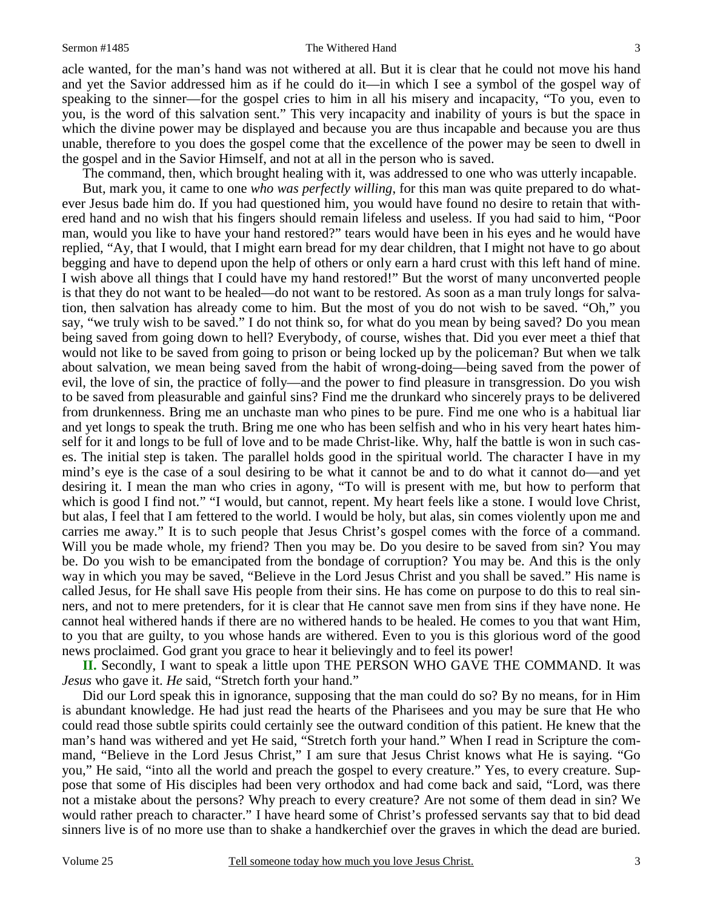#### Sermon #1485 The Withered Hand

acle wanted, for the man's hand was not withered at all. But it is clear that he could not move his hand and yet the Savior addressed him as if he could do it—in which I see a symbol of the gospel way of speaking to the sinner—for the gospel cries to him in all his misery and incapacity, "To you, even to you, is the word of this salvation sent." This very incapacity and inability of yours is but the space in which the divine power may be displayed and because you are thus incapable and because you are thus unable, therefore to you does the gospel come that the excellence of the power may be seen to dwell in the gospel and in the Savior Himself, and not at all in the person who is saved.

The command, then, which brought healing with it, was addressed to one who was utterly incapable.

 But, mark you, it came to one *who was perfectly willing*, for this man was quite prepared to do whatever Jesus bade him do. If you had questioned him, you would have found no desire to retain that withered hand and no wish that his fingers should remain lifeless and useless. If you had said to him, "Poor man, would you like to have your hand restored?" tears would have been in his eyes and he would have replied, "Ay, that I would, that I might earn bread for my dear children, that I might not have to go about begging and have to depend upon the help of others or only earn a hard crust with this left hand of mine. I wish above all things that I could have my hand restored!" But the worst of many unconverted people is that they do not want to be healed—do not want to be restored. As soon as a man truly longs for salvation, then salvation has already come to him. But the most of you do not wish to be saved. "Oh," you say, "we truly wish to be saved." I do not think so, for what do you mean by being saved? Do you mean being saved from going down to hell? Everybody, of course, wishes that. Did you ever meet a thief that would not like to be saved from going to prison or being locked up by the policeman? But when we talk about salvation, we mean being saved from the habit of wrong-doing—being saved from the power of evil, the love of sin, the practice of folly—and the power to find pleasure in transgression. Do you wish to be saved from pleasurable and gainful sins? Find me the drunkard who sincerely prays to be delivered from drunkenness. Bring me an unchaste man who pines to be pure. Find me one who is a habitual liar and yet longs to speak the truth. Bring me one who has been selfish and who in his very heart hates himself for it and longs to be full of love and to be made Christ-like. Why, half the battle is won in such cases. The initial step is taken. The parallel holds good in the spiritual world. The character I have in my mind's eye is the case of a soul desiring to be what it cannot be and to do what it cannot do—and yet desiring it. I mean the man who cries in agony, "To will is present with me, but how to perform that which is good I find not." "I would, but cannot, repent. My heart feels like a stone. I would love Christ, but alas, I feel that I am fettered to the world. I would be holy, but alas, sin comes violently upon me and carries me away." It is to such people that Jesus Christ's gospel comes with the force of a command. Will you be made whole, my friend? Then you may be. Do you desire to be saved from sin? You may be. Do you wish to be emancipated from the bondage of corruption? You may be. And this is the only way in which you may be saved, "Believe in the Lord Jesus Christ and you shall be saved." His name is called Jesus, for He shall save His people from their sins. He has come on purpose to do this to real sinners, and not to mere pretenders, for it is clear that He cannot save men from sins if they have none. He cannot heal withered hands if there are no withered hands to be healed. He comes to you that want Him, to you that are guilty, to you whose hands are withered. Even to you is this glorious word of the good news proclaimed. God grant you grace to hear it believingly and to feel its power!

**II.** Secondly, I want to speak a little upon THE PERSON WHO GAVE THE COMMAND. It was *Jesus* who gave it. *He* said, "Stretch forth your hand."

 Did our Lord speak this in ignorance, supposing that the man could do so? By no means, for in Him is abundant knowledge. He had just read the hearts of the Pharisees and you may be sure that He who could read those subtle spirits could certainly see the outward condition of this patient. He knew that the man's hand was withered and yet He said, "Stretch forth your hand." When I read in Scripture the command, "Believe in the Lord Jesus Christ," I am sure that Jesus Christ knows what He is saying. "Go you," He said, "into all the world and preach the gospel to every creature." Yes, to every creature. Suppose that some of His disciples had been very orthodox and had come back and said, "Lord, was there not a mistake about the persons? Why preach to every creature? Are not some of them dead in sin? We would rather preach to character." I have heard some of Christ's professed servants say that to bid dead sinners live is of no more use than to shake a handkerchief over the graves in which the dead are buried.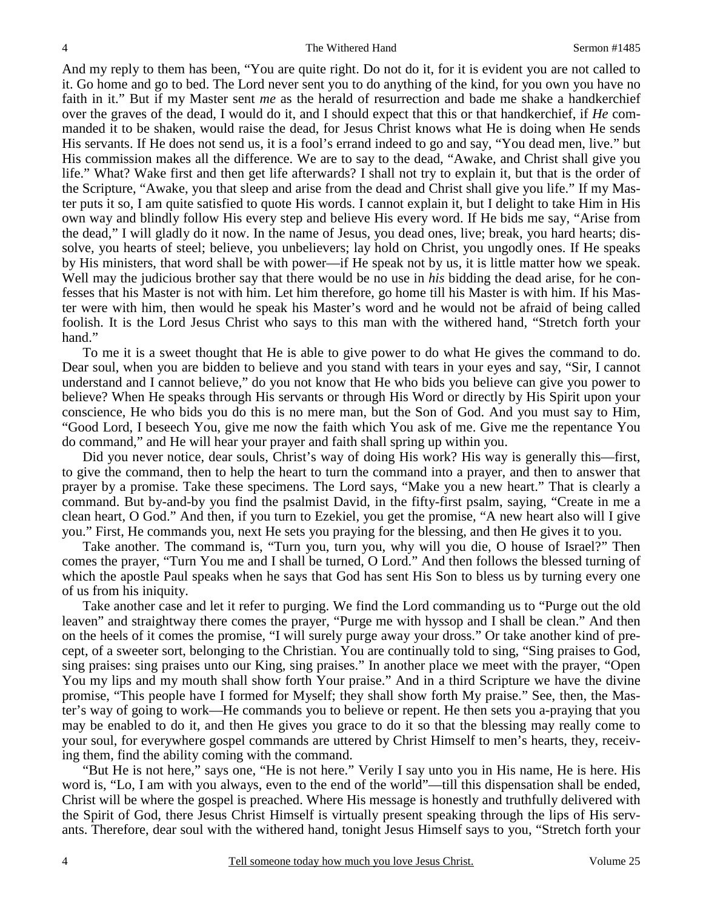And my reply to them has been, "You are quite right. Do not do it, for it is evident you are not called to it. Go home and go to bed. The Lord never sent you to do anything of the kind, for you own you have no faith in it." But if my Master sent *me* as the herald of resurrection and bade me shake a handkerchief over the graves of the dead, I would do it, and I should expect that this or that handkerchief, if *He* commanded it to be shaken, would raise the dead, for Jesus Christ knows what He is doing when He sends His servants. If He does not send us, it is a fool's errand indeed to go and say, "You dead men, live." but His commission makes all the difference. We are to say to the dead, "Awake, and Christ shall give you life." What? Wake first and then get life afterwards? I shall not try to explain it, but that is the order of the Scripture, "Awake, you that sleep and arise from the dead and Christ shall give you life." If my Master puts it so, I am quite satisfied to quote His words. I cannot explain it, but I delight to take Him in His own way and blindly follow His every step and believe His every word. If He bids me say, "Arise from the dead," I will gladly do it now. In the name of Jesus, you dead ones, live; break, you hard hearts; dissolve, you hearts of steel; believe, you unbelievers; lay hold on Christ, you ungodly ones. If He speaks by His ministers, that word shall be with power—if He speak not by us, it is little matter how we speak. Well may the judicious brother say that there would be no use in *his* bidding the dead arise, for he confesses that his Master is not with him. Let him therefore, go home till his Master is with him. If his Master were with him, then would he speak his Master's word and he would not be afraid of being called foolish. It is the Lord Jesus Christ who says to this man with the withered hand, "Stretch forth your hand."

 To me it is a sweet thought that He is able to give power to do what He gives the command to do. Dear soul, when you are bidden to believe and you stand with tears in your eyes and say, "Sir, I cannot understand and I cannot believe," do you not know that He who bids you believe can give you power to believe? When He speaks through His servants or through His Word or directly by His Spirit upon your conscience, He who bids you do this is no mere man, but the Son of God. And you must say to Him, "Good Lord, I beseech You, give me now the faith which You ask of me. Give me the repentance You do command," and He will hear your prayer and faith shall spring up within you.

 Did you never notice, dear souls, Christ's way of doing His work? His way is generally this—first, to give the command, then to help the heart to turn the command into a prayer, and then to answer that prayer by a promise. Take these specimens. The Lord says, "Make you a new heart." That is clearly a command. But by-and-by you find the psalmist David, in the fifty-first psalm, saying, "Create in me a clean heart, O God." And then, if you turn to Ezekiel, you get the promise, "A new heart also will I give you." First, He commands you, next He sets you praying for the blessing, and then He gives it to you.

 Take another. The command is, "Turn you, turn you, why will you die, O house of Israel?" Then comes the prayer, "Turn You me and I shall be turned, O Lord." And then follows the blessed turning of which the apostle Paul speaks when he says that God has sent His Son to bless us by turning every one of us from his iniquity.

 Take another case and let it refer to purging. We find the Lord commanding us to "Purge out the old leaven" and straightway there comes the prayer, "Purge me with hyssop and I shall be clean." And then on the heels of it comes the promise, "I will surely purge away your dross." Or take another kind of precept, of a sweeter sort, belonging to the Christian. You are continually told to sing, "Sing praises to God, sing praises: sing praises unto our King, sing praises." In another place we meet with the prayer, "Open You my lips and my mouth shall show forth Your praise." And in a third Scripture we have the divine promise, "This people have I formed for Myself; they shall show forth My praise." See, then, the Master's way of going to work—He commands you to believe or repent. He then sets you a-praying that you may be enabled to do it, and then He gives you grace to do it so that the blessing may really come to your soul, for everywhere gospel commands are uttered by Christ Himself to men's hearts, they, receiving them, find the ability coming with the command.

 "But He is not here," says one, "He is not here." Verily I say unto you in His name, He is here. His word is, "Lo, I am with you always, even to the end of the world"—till this dispensation shall be ended, Christ will be where the gospel is preached. Where His message is honestly and truthfully delivered with the Spirit of God, there Jesus Christ Himself is virtually present speaking through the lips of His servants. Therefore, dear soul with the withered hand, tonight Jesus Himself says to you, "Stretch forth your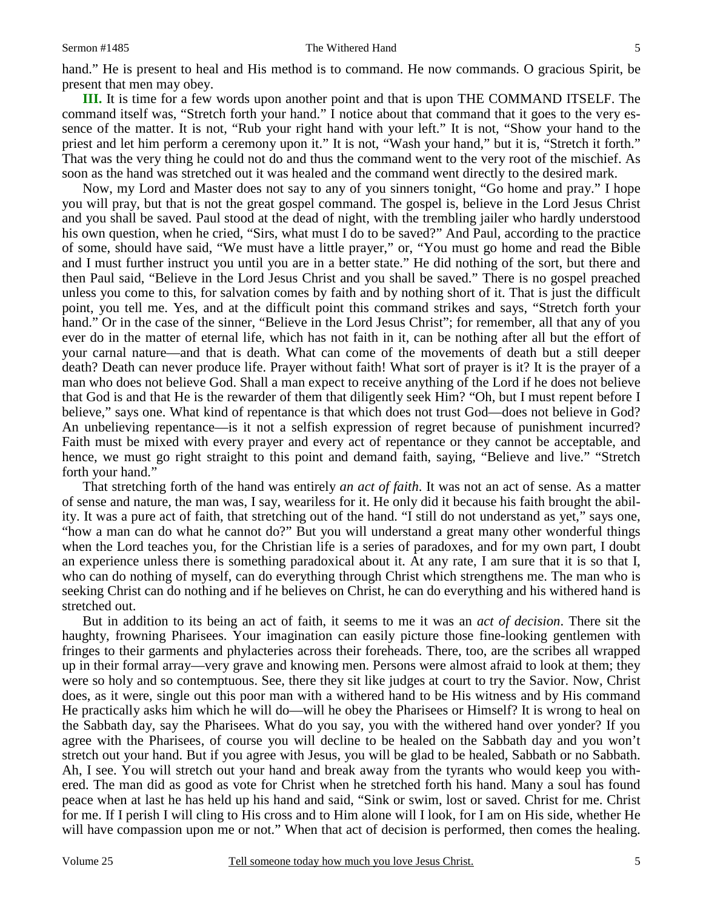hand." He is present to heal and His method is to command. He now commands. O gracious Spirit, be present that men may obey.

**III.** It is time for a few words upon another point and that is upon THE COMMAND ITSELF. The command itself was, "Stretch forth your hand." I notice about that command that it goes to the very essence of the matter. It is not, "Rub your right hand with your left." It is not, "Show your hand to the priest and let him perform a ceremony upon it." It is not, "Wash your hand," but it is, "Stretch it forth." That was the very thing he could not do and thus the command went to the very root of the mischief. As soon as the hand was stretched out it was healed and the command went directly to the desired mark.

 Now, my Lord and Master does not say to any of you sinners tonight, "Go home and pray." I hope you will pray, but that is not the great gospel command. The gospel is, believe in the Lord Jesus Christ and you shall be saved. Paul stood at the dead of night, with the trembling jailer who hardly understood his own question, when he cried, "Sirs, what must I do to be saved?" And Paul, according to the practice of some, should have said, "We must have a little prayer," or, "You must go home and read the Bible and I must further instruct you until you are in a better state." He did nothing of the sort, but there and then Paul said, "Believe in the Lord Jesus Christ and you shall be saved." There is no gospel preached unless you come to this, for salvation comes by faith and by nothing short of it. That is just the difficult point, you tell me. Yes, and at the difficult point this command strikes and says, "Stretch forth your hand." Or in the case of the sinner, "Believe in the Lord Jesus Christ"; for remember, all that any of you ever do in the matter of eternal life, which has not faith in it, can be nothing after all but the effort of your carnal nature—and that is death. What can come of the movements of death but a still deeper death? Death can never produce life. Prayer without faith! What sort of prayer is it? It is the prayer of a man who does not believe God. Shall a man expect to receive anything of the Lord if he does not believe that God is and that He is the rewarder of them that diligently seek Him? "Oh, but I must repent before I believe," says one. What kind of repentance is that which does not trust God—does not believe in God? An unbelieving repentance—is it not a selfish expression of regret because of punishment incurred? Faith must be mixed with every prayer and every act of repentance or they cannot be acceptable, and hence, we must go right straight to this point and demand faith, saying, "Believe and live." "Stretch forth your hand."

 That stretching forth of the hand was entirely *an act of faith*. It was not an act of sense. As a matter of sense and nature, the man was, I say, weariless for it. He only did it because his faith brought the ability. It was a pure act of faith, that stretching out of the hand. "I still do not understand as yet," says one, "how a man can do what he cannot do?" But you will understand a great many other wonderful things when the Lord teaches you, for the Christian life is a series of paradoxes, and for my own part, I doubt an experience unless there is something paradoxical about it. At any rate, I am sure that it is so that I, who can do nothing of myself, can do everything through Christ which strengthens me. The man who is seeking Christ can do nothing and if he believes on Christ, he can do everything and his withered hand is stretched out.

 But in addition to its being an act of faith, it seems to me it was an *act of decision*. There sit the haughty, frowning Pharisees. Your imagination can easily picture those fine-looking gentlemen with fringes to their garments and phylacteries across their foreheads. There, too, are the scribes all wrapped up in their formal array—very grave and knowing men. Persons were almost afraid to look at them; they were so holy and so contemptuous. See, there they sit like judges at court to try the Savior. Now, Christ does, as it were, single out this poor man with a withered hand to be His witness and by His command He practically asks him which he will do—will he obey the Pharisees or Himself? It is wrong to heal on the Sabbath day, say the Pharisees. What do you say, you with the withered hand over yonder? If you agree with the Pharisees, of course you will decline to be healed on the Sabbath day and you won't stretch out your hand. But if you agree with Jesus, you will be glad to be healed, Sabbath or no Sabbath. Ah, I see. You will stretch out your hand and break away from the tyrants who would keep you withered. The man did as good as vote for Christ when he stretched forth his hand. Many a soul has found peace when at last he has held up his hand and said, "Sink or swim, lost or saved. Christ for me. Christ for me. If I perish I will cling to His cross and to Him alone will I look, for I am on His side, whether He will have compassion upon me or not." When that act of decision is performed, then comes the healing.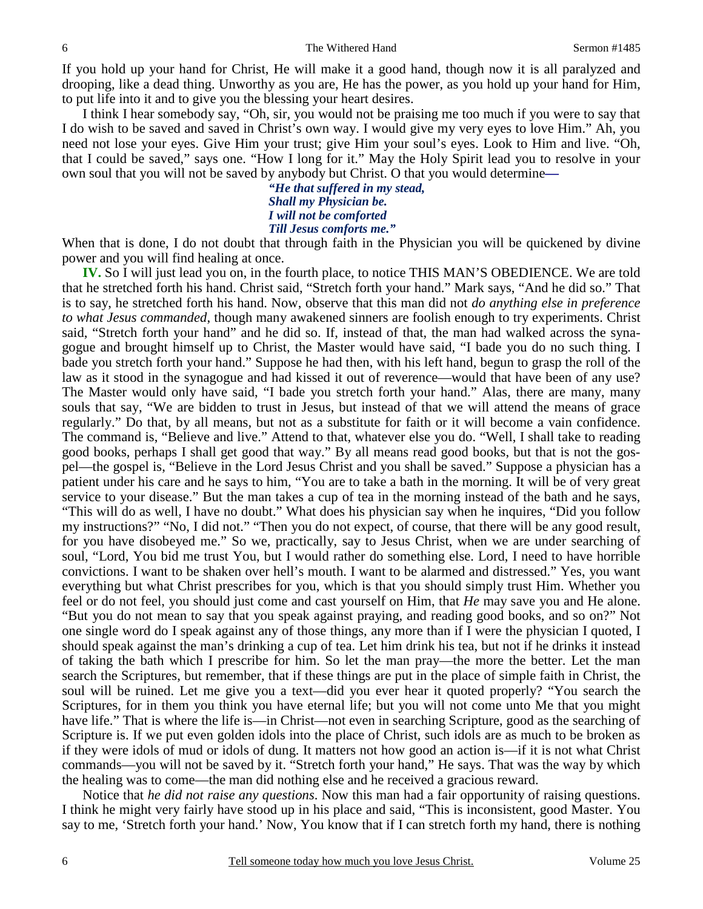If you hold up your hand for Christ, He will make it a good hand, though now it is all paralyzed and drooping, like a dead thing. Unworthy as you are, He has the power, as you hold up your hand for Him, to put life into it and to give you the blessing your heart desires.

 I think I hear somebody say, "Oh, sir, you would not be praising me too much if you were to say that I do wish to be saved and saved in Christ's own way. I would give my very eyes to love Him." Ah, you need not lose your eyes. Give Him your trust; give Him your soul's eyes. Look to Him and live. "Oh, that I could be saved," says one. "How I long for it." May the Holy Spirit lead you to resolve in your own soul that you will not be saved by anybody but Christ. O that you would determine*—* 

*"He that suffered in my stead, Shall my Physician be. I will not be comforted Till Jesus comforts me."* 

When that is done, I do not doubt that through faith in the Physician you will be quickened by divine power and you will find healing at once.

**IV.** So I will just lead you on, in the fourth place, to notice THIS MAN'S OBEDIENCE. We are told that he stretched forth his hand. Christ said, "Stretch forth your hand." Mark says, "And he did so." That is to say, he stretched forth his hand. Now, observe that this man did not *do anything else in preference to what Jesus commanded*, though many awakened sinners are foolish enough to try experiments. Christ said, "Stretch forth your hand" and he did so. If, instead of that, the man had walked across the synagogue and brought himself up to Christ, the Master would have said, "I bade you do no such thing. I bade you stretch forth your hand." Suppose he had then, with his left hand, begun to grasp the roll of the law as it stood in the synagogue and had kissed it out of reverence—would that have been of any use? The Master would only have said, "I bade you stretch forth your hand." Alas, there are many, many souls that say, "We are bidden to trust in Jesus, but instead of that we will attend the means of grace regularly." Do that, by all means, but not as a substitute for faith or it will become a vain confidence. The command is, "Believe and live." Attend to that, whatever else you do. "Well, I shall take to reading good books, perhaps I shall get good that way." By all means read good books, but that is not the gospel—the gospel is, "Believe in the Lord Jesus Christ and you shall be saved." Suppose a physician has a patient under his care and he says to him, "You are to take a bath in the morning. It will be of very great service to your disease." But the man takes a cup of tea in the morning instead of the bath and he says, "This will do as well, I have no doubt." What does his physician say when he inquires, "Did you follow my instructions?" "No, I did not." "Then you do not expect, of course, that there will be any good result, for you have disobeyed me." So we, practically, say to Jesus Christ, when we are under searching of soul, "Lord, You bid me trust You, but I would rather do something else. Lord, I need to have horrible convictions. I want to be shaken over hell's mouth. I want to be alarmed and distressed." Yes, you want everything but what Christ prescribes for you, which is that you should simply trust Him. Whether you feel or do not feel, you should just come and cast yourself on Him, that *He* may save you and He alone. "But you do not mean to say that you speak against praying, and reading good books, and so on?" Not one single word do I speak against any of those things, any more than if I were the physician I quoted, I should speak against the man's drinking a cup of tea. Let him drink his tea, but not if he drinks it instead of taking the bath which I prescribe for him. So let the man pray—the more the better. Let the man search the Scriptures, but remember, that if these things are put in the place of simple faith in Christ, the soul will be ruined. Let me give you a text—did you ever hear it quoted properly? "You search the Scriptures, for in them you think you have eternal life; but you will not come unto Me that you might have life." That is where the life is—in Christ—not even in searching Scripture, good as the searching of Scripture is. If we put even golden idols into the place of Christ, such idols are as much to be broken as if they were idols of mud or idols of dung. It matters not how good an action is—if it is not what Christ commands—you will not be saved by it. "Stretch forth your hand," He says. That was the way by which the healing was to come—the man did nothing else and he received a gracious reward.

 Notice that *he did not raise any questions*. Now this man had a fair opportunity of raising questions. I think he might very fairly have stood up in his place and said, "This is inconsistent, good Master. You say to me, 'Stretch forth your hand.' Now, You know that if I can stretch forth my hand, there is nothing

6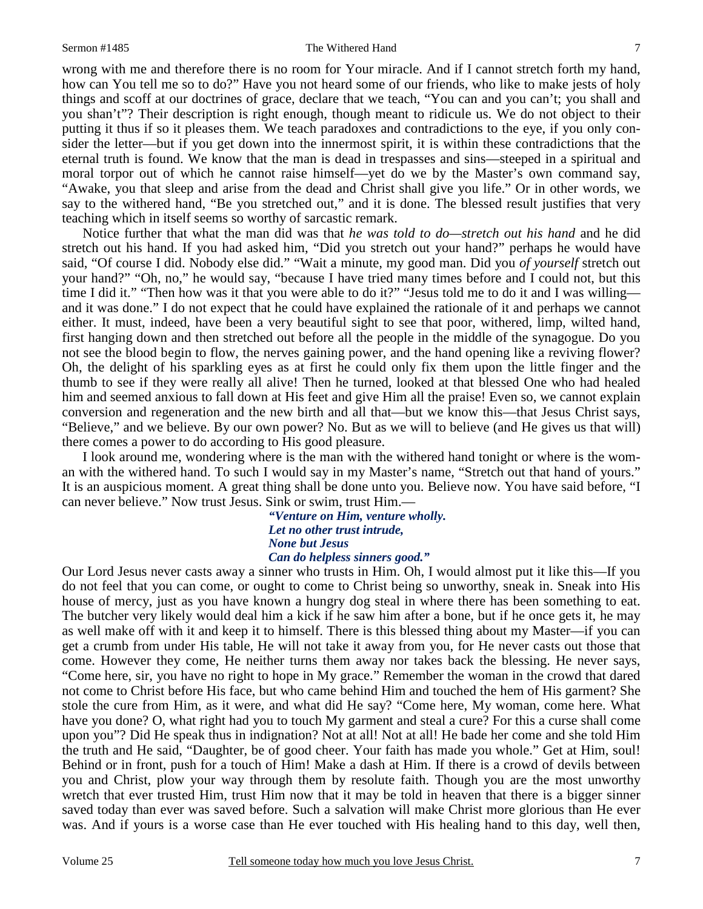#### Sermon #1485 The Withered Hand

wrong with me and therefore there is no room for Your miracle. And if I cannot stretch forth my hand, how can You tell me so to do?" Have you not heard some of our friends, who like to make jests of holy things and scoff at our doctrines of grace, declare that we teach, "You can and you can't; you shall and you shan't"? Their description is right enough, though meant to ridicule us. We do not object to their putting it thus if so it pleases them. We teach paradoxes and contradictions to the eye, if you only consider the letter—but if you get down into the innermost spirit, it is within these contradictions that the eternal truth is found. We know that the man is dead in trespasses and sins—steeped in a spiritual and moral torpor out of which he cannot raise himself—yet do we by the Master's own command say, "Awake, you that sleep and arise from the dead and Christ shall give you life." Or in other words, we say to the withered hand, "Be you stretched out," and it is done. The blessed result justifies that very teaching which in itself seems so worthy of sarcastic remark.

 Notice further that what the man did was that *he was told to do—stretch out his hand* and he did stretch out his hand. If you had asked him, "Did you stretch out your hand?" perhaps he would have said, "Of course I did. Nobody else did." "Wait a minute, my good man. Did you *of yourself* stretch out your hand?" "Oh, no," he would say, "because I have tried many times before and I could not, but this time I did it." "Then how was it that you were able to do it?" "Jesus told me to do it and I was willing and it was done." I do not expect that he could have explained the rationale of it and perhaps we cannot either. It must, indeed, have been a very beautiful sight to see that poor, withered, limp, wilted hand, first hanging down and then stretched out before all the people in the middle of the synagogue. Do you not see the blood begin to flow, the nerves gaining power, and the hand opening like a reviving flower? Oh, the delight of his sparkling eyes as at first he could only fix them upon the little finger and the thumb to see if they were really all alive! Then he turned, looked at that blessed One who had healed him and seemed anxious to fall down at His feet and give Him all the praise! Even so, we cannot explain conversion and regeneration and the new birth and all that—but we know this—that Jesus Christ says, "Believe," and we believe. By our own power? No. But as we will to believe (and He gives us that will) there comes a power to do according to His good pleasure.

 I look around me, wondering where is the man with the withered hand tonight or where is the woman with the withered hand. To such I would say in my Master's name, "Stretch out that hand of yours." It is an auspicious moment. A great thing shall be done unto you. Believe now. You have said before, "I can never believe." Now trust Jesus. Sink or swim, trust Him.—

> *"Venture on Him, venture wholly. Let no other trust intrude, None but Jesus Can do helpless sinners good."*

Our Lord Jesus never casts away a sinner who trusts in Him. Oh, I would almost put it like this—If you do not feel that you can come, or ought to come to Christ being so unworthy, sneak in. Sneak into His house of mercy, just as you have known a hungry dog steal in where there has been something to eat. The butcher very likely would deal him a kick if he saw him after a bone, but if he once gets it, he may as well make off with it and keep it to himself. There is this blessed thing about my Master—if you can get a crumb from under His table, He will not take it away from you, for He never casts out those that come. However they come, He neither turns them away nor takes back the blessing. He never says, "Come here, sir, you have no right to hope in My grace." Remember the woman in the crowd that dared not come to Christ before His face, but who came behind Him and touched the hem of His garment? She stole the cure from Him, as it were, and what did He say? "Come here, My woman, come here. What have you done? O, what right had you to touch My garment and steal a cure? For this a curse shall come upon you"? Did He speak thus in indignation? Not at all! Not at all! He bade her come and she told Him the truth and He said, "Daughter, be of good cheer. Your faith has made you whole." Get at Him, soul! Behind or in front, push for a touch of Him! Make a dash at Him. If there is a crowd of devils between you and Christ, plow your way through them by resolute faith. Though you are the most unworthy wretch that ever trusted Him, trust Him now that it may be told in heaven that there is a bigger sinner saved today than ever was saved before. Such a salvation will make Christ more glorious than He ever was. And if yours is a worse case than He ever touched with His healing hand to this day, well then,